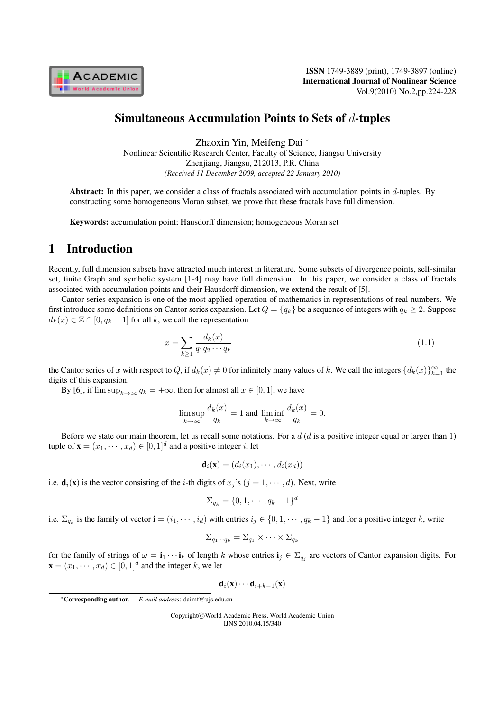

## Simultaneous Accumulation Points to Sets of  $d$ -tuples

Zhaoxin Yin, Meifeng Dai *<sup>∗</sup>* Nonlinear Scientific Research Center, Faculty of Science, Jiangsu University Zhenjiang, Jiangsu, 212013, P.R. China *(Received 11 December 2009, accepted 22 January 2010)*

Abstract: In this paper, we consider a class of fractals associated with accumulation points in  $d$ -tuples. By constructing some homogeneous Moran subset, we prove that these fractals have full dimension.

Keywords: accumulation point; Hausdorff dimension; homogeneous Moran set

# 1 Introduction

Recently, full dimension subsets have attracted much interest in literature. Some subsets of divergence points, self-similar set, finite Graph and symbolic system [1-4] may have full dimension. In this paper, we consider a class of fractals associated with accumulation points and their Hausdorff dimension, we extend the result of [5].

Cantor series expansion is one of the most applied operation of mathematics in representations of real numbers. We first introduce some definitions on Cantor series expansion. Let  $Q = \{q_k\}$  be a sequence of integers with  $q_k \geq 2$ . Suppose  $d_k(x) \in \mathbb{Z} \cap [0, q_k - 1]$  for all k, we call the representation

$$
x = \sum_{k \ge 1} \frac{d_k(x)}{q_1 q_2 \cdots q_k} \tag{1.1}
$$

the Cantor series of x with respect to Q, if  $d_k(x) \neq 0$  for infinitely many values of k. We call the integers  $\{d_k(x)\}_{k=1}^{\infty}$  the digits of this expansion.

By [6], if  $\limsup_{k\to\infty} q_k = +\infty$ , then for almost all  $x \in [0,1]$ , we have

$$
\limsup_{k \to \infty} \frac{d_k(x)}{q_k} = 1 \text{ and } \liminf_{k \to \infty} \frac{d_k(x)}{q_k} = 0.
$$

Before we state our main theorem, let us recall some notations. For a  $d$  ( $d$  is a positive integer equal or larger than 1) tuple of  $\mathbf{x} = (x_1, \dots, x_d) \in [0, 1]^d$  and a positive integer *i*, let

$$
\mathbf{d}_i(\mathbf{x}) = (d_i(x_1), \cdots, d_i(x_d))
$$

i.e.  $\mathbf{d}_i(\mathbf{x})$  is the vector consisting of the *i*-th digits of  $x_j$ 's  $(j = 1, \dots, d)$ . Next, write

$$
\Sigma_{q_k} = \{0, 1, \cdots, q_k - 1\}^d
$$

i.e.  $\Sigma_{q_k}$  is the family of vector  $\mathbf{i} = (i_1, \dots, i_d)$  with entries  $i_j \in \{0, 1, \dots, q_k - 1\}$  and for a positive integer k, write

$$
\Sigma_{q_1\cdots q_k} = \Sigma_{q_1} \times \cdots \times \Sigma_{q_k}
$$

for the family of strings of  $\omega = \mathbf{i}_1 \cdots \mathbf{i}_k$  of length k whose entries  $\mathbf{i}_j \in \Sigma_{q_j}$  are vectors of Cantor expansion digits. For  $\mathbf{x} = (x_1, \dots, x_d) \in [0, 1]^d$  and the integer k, we let

 $\mathbf{d}_i(\mathbf{x}) \cdots \mathbf{d}_{i+k-1}(\mathbf{x})$ 

Copyright*⃝*c World Academic Press, World Academic Union IJNS.2010.04.15/340

*<sup>∗</sup>*Corresponding author. *E-mail address*: daimf@ujs.edu.cn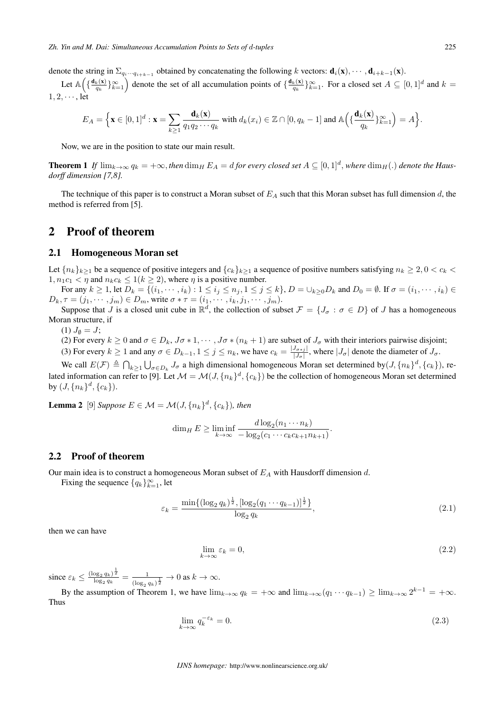denote the string in  $\Sigma_{q_i\cdots q_{i+k-1}}$  obtained by concatenating the following  $k$  vectors:  $\mathbf{d}_i(\mathbf{x}), \cdots, \mathbf{d}_{i+k-1}(\mathbf{x})$ .

Let  $\mathbb{A}\left(\left\{\frac{\mathbf{d}_k(\mathbf{x})}{q_k}\right\}\right)$  $\left\{\frac{k(\mathbf{x})}{q_k}\right\}_{k=1}^{\infty}$  denote the set of all accumulation points of  $\left\{\frac{\mathbf{d}_k(\mathbf{x})}{q_k}\right\}$  $\{a_k(\mathbf{x})\}_{k=1}^{\infty}$ . For a closed set  $A \subseteq [0,1]^d$  and  $k =$ 1*,* 2*, ⋅ ⋅ ⋅* , let

$$
E_A = \Big\{ \mathbf{x} \in [0,1]^d : \mathbf{x} = \sum_{k \ge 1} \frac{\mathbf{d}_k(\mathbf{x})}{q_1 q_2 \cdots q_k} \text{ with } d_k(x_i) \in \mathbb{Z} \cap [0,q_k-1] \text{ and } \mathbb{A}\Big(\{\frac{\mathbf{d}_k(\mathbf{x})}{q_k}\}_{k=1}^{\infty}\Big) = A\Big\}.
$$

Now, we are in the position to state our main result.

**Theorem 1** If  $\lim_{k\to\infty} q_k = +\infty$ , then  $\dim_H E_A = d$  for every closed set  $A \subseteq [0,1]^d$ , where  $\dim_H(.)$  denote the Haus*dorff dimension [7,8].*

The technique of this paper is to construct a Moran subset of  $E_A$  such that this Moran subset has full dimension d, the method is referred from [5].

### 2 Proof of theorem

#### 2.1 Homogeneous Moran set

Let  ${n_k}_{k>1}$  be a sequence of positive integers and  ${c_k}_{k>1}$  a sequence of positive numbers satisfying  $n_k \geq 2, 0 < c_k$  $1, n_1c_1 < \eta$  and  $n_kc_k \leq 1(k \geq 2)$ , where  $\eta$  is a positive number.

For any  $k \ge 1$ , let  $D_k = \{(i_1, \dots, i_k) : 1 \le i_j \le n_j, 1 \le j \le k\}$ ,  $D = \bigcup_{k \ge 0} D_k$  and  $D_0 = \emptyset$ . If  $\sigma = (i_1, \dots, i_k) \in$  $D_k, \tau = (j_1, \dots, j_m) \in D_m$ , write  $\sigma * \tau = (i_1, \dots, i_k, j_1, \dots, j_m)$ .

Suppose that *J* is a closed unit cube in  $\mathbb{R}^d$ , the collection of subset  $\mathcal{F} = \{J_\sigma : \sigma \in D\}$  of *J* has a homogeneous Moran structure, if

 $(1) J_{\emptyset} = J;$ 

(2) For every  $k \geq 0$  and  $\sigma \in D_k$ ,  $J\sigma * 1$ ,  $\cdots$ ,  $J\sigma * (n_k + 1)$  are subset of  $J_{\sigma}$  with their interiors pairwise disjoint;

(3) For every  $k \ge 1$  and any  $\sigma \in D_{k-1}, 1 \le j \le n_k$ , we have  $c_k = \frac{|J_{\sigma *j}|}{|J_{\sigma}|}$  $\frac{J_{\sigma * j}}{|J_{\sigma}|}$ , where  $|J_{\sigma}|$  denote the diameter of  $J_{\sigma}$ .

We call  $E(\mathcal{F}) \triangleq \bigcap_{k \geq 1} \bigcup_{\sigma \in D_k} J_{\sigma}$  a high dimensional homogeneous Moran set determined by  $(J, \{n_k\}^d, \{c_k\})$ , related information can refer to [9]. Let  $\mathcal{M} = \mathcal{M}(J,\{n_k\}^d,\{c_k\})$  be the collection of homogeneous Moran set determined  $\text{by } (J, \{n_k\}^d, \{c_k\}).$ 

**Lemma 2** [9] *Suppose*  $E \in \mathcal{M} = \mathcal{M}(J, \{n_k\}^d, \{c_k\})$ , then

$$
\dim_H E \ge \liminf_{k \to \infty} \frac{d \log_2 (n_1 \cdots n_k)}{-\log_2 (c_1 \cdots c_k c_{k+1} n_{k+1})}.
$$

#### 2.2 Proof of theorem

Our main idea is to construct a homogeneous Moran subset of  $E_A$  with Hausdorff dimension d.

Fixing the sequence  $\{q_k\}_{k=1}^{\infty}$ , let

$$
\varepsilon_k = \frac{\min\{(\log_2 q_k)^{\frac{1}{2}}, [\log_2 (q_1 \cdots q_{k-1})]^{\frac{1}{2}}\}}{\log_2 q_k},\tag{2.1}
$$

then we can have

$$
\lim_{k \to \infty} \varepsilon_k = 0,\tag{2.2}
$$

since  $\varepsilon_k \leq \frac{(\log_2 q_k)^{\frac{1}{2}}}{\log_2 q_k} = \frac{1}{(\log_2 q_k)^{\frac{1}{2}}}$  $\frac{1}{(\log_2 q_k)^{\frac{1}{2}}} \to 0$  as  $k \to \infty$ .

By the assumption of Theorem 1, we have  $\lim_{k\to\infty} q_k = +\infty$  and  $\lim_{k\to\infty} (q_1 \cdots q_{k-1}) \ge \lim_{k\to\infty} 2^{k-1} = +\infty$ . Thus

$$
\lim_{k \to \infty} q_k^{-\varepsilon_k} = 0. \tag{2.3}
$$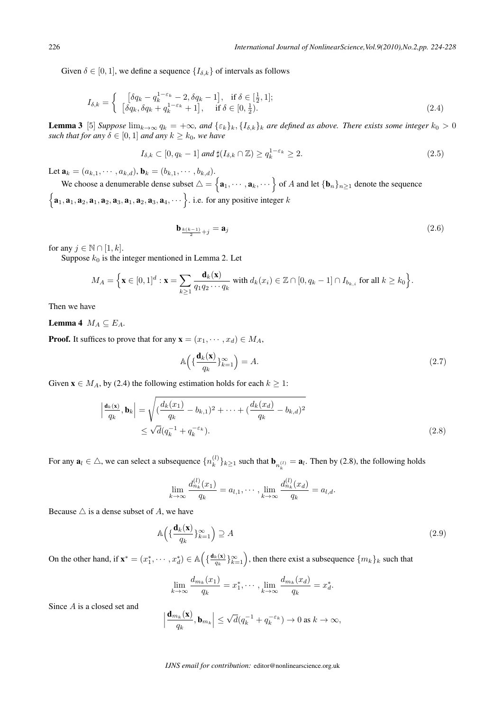Given  $\delta \in [0, 1]$ , we define a sequence  $\{I_{\delta,k}\}\$  of intervals as follows

$$
I_{\delta,k} = \begin{cases} [\delta q_k - q_k^{1-\varepsilon_k} - 2, \delta q_k - 1], & \text{if } \delta \in [\frac{1}{2}, 1];\\ [\delta q_k, \delta q_k + q_k^{1-\varepsilon_k} + 1], & \text{if } \delta \in [0, \frac{1}{2}). \end{cases}
$$
(2.4)

**Lemma 3** [5] *Suppose*  $\lim_{k\to\infty} q_k = +\infty$ , and  $\{\varepsilon_k\}_k, \{I_{\delta,k}\}_k$  are defined as above. There exists some integer  $k_0 > 0$ *such that for any*  $\delta \in [0, 1]$  *and any*  $k \geq k_0$ *, we have* 

$$
I_{\delta,k} \subset [0, q_k - 1] \text{ and } \sharp(I_{\delta,k} \cap \mathbb{Z}) \ge q_k^{1 - \varepsilon_k} \ge 2. \tag{2.5}
$$

Let  $\mathbf{a}_k = (a_{k,1}, \dots, a_{k,d}), \mathbf{b}_k = (b_{k,1}, \dots, b_{k,d}).$ 

We choose a denumerable dense subset  $\triangle = \{a_1, \cdots, a_k, \cdots\}$  of A and let  $\{b_n\}_{n\geq 1}$  denote the sequence  $\{a_1, a_1, a_2, a_1, a_2, a_3, a_1, a_2, a_3, a_4, \cdots\}$ . i.e. for any positive integer k

$$
\mathbf{b}_{\frac{k(k-1)}{2}+j} = \mathbf{a}_j \tag{2.6}
$$

for any  $j \in \mathbb{N} \cap [1, k]$ .

Suppose  $k_0$  is the integer mentioned in Lemma 2. Let

$$
M_A = \Big\{ \mathbf{x} \in [0,1]^d : \mathbf{x} = \sum_{k \ge 1} \frac{\mathbf{d}_k(\mathbf{x})}{q_1 q_2 \cdots q_k} \text{ with } d_k(x_i) \in \mathbb{Z} \cap [0, q_k - 1] \cap I_{b_{k,i}} \text{ for all } k \ge k_0 \Big\}.
$$

Then we have

Lemma 4  $M_A \subseteq E_A$ .

**Proof.** It suffices to prove that for any  $\mathbf{x} = (x_1, \dots, x_d) \in M_A$ ,

$$
\mathbb{A}\left(\{\frac{\mathbf{d}_k(\mathbf{x})}{q_k}\}_{k=1}^{\infty}\right) = A. \tag{2.7}
$$

Given  $\mathbf{x} \in M_A$ , by (2.4) the following estimation holds for each  $k \geq 1$ :

$$
\left| \frac{\mathbf{d}_k(\mathbf{x})}{q_k}, \mathbf{b}_k \right| = \sqrt{\left( \frac{d_k(x_1)}{q_k} - b_{k,1} \right)^2 + \dots + \left( \frac{d_k(x_d)}{q_k} - b_{k,d} \right)^2} \le \sqrt{d} (q_k^{-1} + q_k^{-\varepsilon_k}).
$$
\n(2.8)

For any  $\mathbf{a}_l \in \triangle$ , we can select a subsequence  $\{n_k^{(l)}\}$  ${k \choose k}$ <sub> $k \ge 1$ </sub> such that  $\mathbf{b}_{n_k^{(l)}} = \mathbf{a}_l$ . Then by (2.8), the following holds

$$
\lim_{k \to \infty} \frac{d_{n_k}^{(l)}(x_1)}{q_k} = a_{l,1}, \cdots, \lim_{k \to \infty} \frac{d_{n_k}^{(l)}(x_d)}{q_k} = a_{l,d}.
$$

Because  $\triangle$  is a dense subset of A, we have

$$
\mathbb{A}\left(\{\frac{\mathbf{d}_k(\mathbf{x})}{q_k}\}_{k=1}^{\infty}\right) \supseteq A\tag{2.9}
$$

On the other hand, if  $\mathbf{x}^* = (x_1^*, \dots, x_d^*) \in \mathbb{A} \left( \{ \frac{\mathbf{d}_k(\mathbf{x})}{q_k} \right)$  $\{(\mathbf{w}_k(\mathbf{x})|_{k=1}^\infty\}$ , then there exist a subsequence  $\{m_k\}_k$  such that

$$
\lim_{k \to \infty} \frac{d_{m_k}(x_1)}{q_k} = x_1^*, \cdots, \lim_{k \to \infty} \frac{d_{m_k}(x_d)}{q_k} = x_d^*.
$$

Since  $A$  is a closed set and

$$
\left|\frac{\mathbf{d}_{m_k}(\mathbf{x})}{q_k}, \mathbf{b}_{m_k}\right| \leq \sqrt{d}(q_k^{-1} + q_k^{-\varepsilon_k}) \to 0 \text{ as } k \to \infty,
$$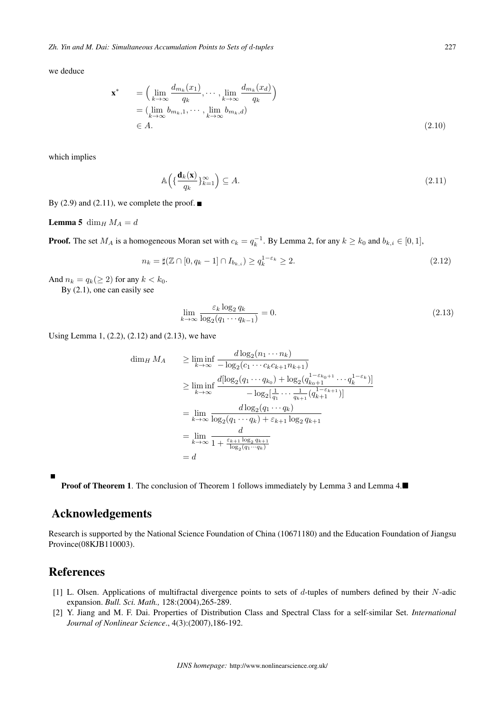*Zh. Yin and M. Dai: Simultaneous Accumulation Points to Sets of -tuples* 227

we deduce

$$
\mathbf{x}^* = \left(\lim_{k \to \infty} \frac{d_{m_k}(x_1)}{q_k}, \cdots, \lim_{k \to \infty} \frac{d_{m_k}(x_d)}{q_k}\right)
$$
  
=  $(\lim_{k \to \infty} b_{m_k,1}, \cdots, \lim_{k \to \infty} b_{m_k,d})$   
 $\in A.$  (2.10)

which implies

$$
\mathbb{A}\left(\{\frac{\mathbf{d}_k(\mathbf{x})}{q_k}\}_{k=1}^{\infty}\right) \subseteq A. \tag{2.11}
$$

By (2.9) and (2.11), we complete the proof.  $\blacksquare$ 

**Lemma 5** dim<sub>H</sub>  $M_A = d$ 

**Proof.** The set  $M_A$  is a homogeneous Moran set with  $c_k = q_k^{-1}$ . By Lemma 2, for any  $k \geq k_0$  and  $b_{k,i} \in [0,1]$ ,

$$
n_k = \sharp(\mathbb{Z} \cap [0, q_k - 1] \cap I_{b_{k,i}}) \ge q_k^{1 - \varepsilon_k} \ge 2. \tag{2.12}
$$

And  $n_k = q_k (\geq 2)$  for any  $k < k_0$ .

By (2.1), one can easily see

$$
\lim_{k \to \infty} \frac{\varepsilon_k \log_2 q_k}{\log_2 (q_1 \cdots q_{k-1})} = 0.
$$
\n(2.13)

Using Lemma 1, (2.2), (2.12) and (2.13), we have

$$
\dim_H M_A \geq \liminf_{k \to \infty} \frac{d \log_2(n_1 \cdots n_k)}{-\log_2(c_1 \cdots c_k c_{k+1} n_{k+1})}
$$
\n
$$
\geq \liminf_{k \to \infty} \frac{d [\log_2(q_1 \cdots q_{k_0}) + \log_2(q_{k_0+1}^{1-\epsilon_{k_0+1}} \cdots q_k^{1-\epsilon_k})]}{-\log_2[\frac{1}{q_1} \cdots \frac{1}{q_{k+1}}(q_{k+1}^{1-\epsilon_{k+1}})]}
$$
\n
$$
= \lim_{k \to \infty} \frac{d \log_2(q_1 \cdots q_k)}{\log_2(q_1 \cdots q_k) + \epsilon_{k+1} \log_2 q_{k+1}}
$$
\n
$$
= \lim_{k \to \infty} \frac{d}{1 + \frac{\epsilon_{k+1} \log_2 q_{k+1}}{\log_2(q_1 \cdots q_k)}}
$$
\n
$$
= d
$$

**Proof of Theorem 1.** The conclusion of Theorem 1 follows immediately by Lemma 3 and Lemma 4.■

# Acknowledgements

Research is supported by the National Science Foundation of China (10671180) and the Education Foundation of Jiangsu Province(08KJB110003).

# References

- [1] L. Olsen. Applications of multifractal divergence points to sets of  $d$ -tuples of numbers defined by their  $N$ -adic expansion. *Bull. Sci. Math.,* 128:(2004),265-289.
- [2] Y. Jiang and M. F. Dai. Properties of Distribution Class and Spectral Class for a self-similar Set. *International Journal of Nonlinear Science*., 4(3):(2007),186-192.